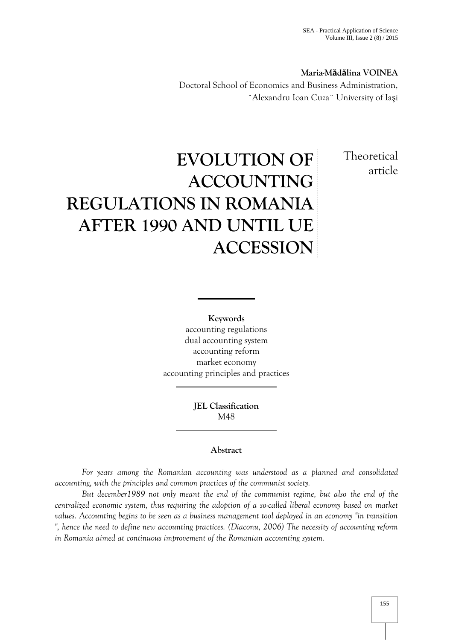**Maria-M d lina VOINEA** Doctoral School of Economics and Business Administration, ¨Alexandru Ioan Cuza¨ University of Ia i

> **Theoretical** article

# **EVOLUTION OF ACCOUNTING REGULATIONS IN ROMANIA AFTER 1990 AND UNTIL UE ACCESSION**

**Keywords** accounting regulations dual accounting system accounting reform market economy accounting principles and practices

> **JEL Classification** M48

# **Abstract**

*For years among the Romanian accounting was understood as a planned and consolidated accounting, with the principles and common practices of the communist society.*

*But december1989 not only meant the end of the communist regime, but also the end of the centralized economic system, thus requiring the adoption of a so-called liberal economy based on market values. Accounting begins to be seen as a business management tool deployed in an economy "in transition ", hence the need to define new accounting practices. (Diaconu, 2006) The necessity of accounting reform in Romania aimed at continuous improvement of the Romanian accounting system.*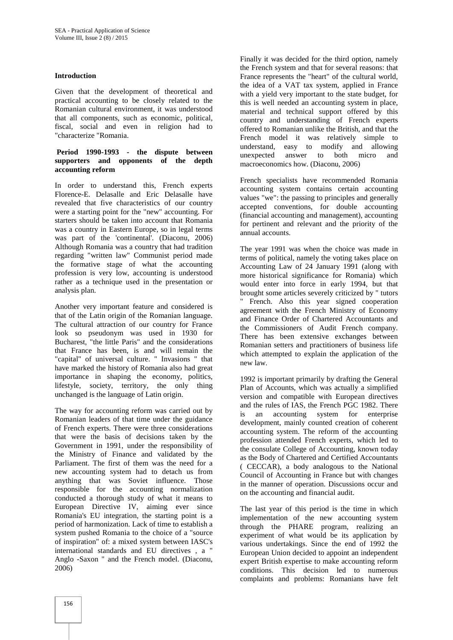#### **Introduction**

Given that the development of theoretical and practical accounting to be closely related to the Romanian cultural environment, it was understood that all components, such as economic, political, fiscal, social and even in religion had to "characterize "Romania.

# **Period 1990-1993 - the dispute between supporters and opponents of the depth accounting reform**

In order to understand this, French experts Florence-E. Delasalle and Eric Delasalle have revealed that five characteristics of our country were a starting point for the "new" accounting. For starters should be taken into account that Romania was a country in Eastern Europe, so in legal terms was part of the 'continental'. (Diaconu, 2006) Although Romania was a country that had tradition regarding "written law" Communist period made the formative stage of what the accounting profession is very low, accounting is understood rather as a technique used in the presentation or analysis plan.

Another very important feature and considered is that of the Latin origin of the Romanian language. The cultural attraction of our country for France look so pseudonym was used in 1930 for Bucharest, "the little Paris" and the considerations that France has been, is and will remain the "capital" of universal culture. " Invasions " that have marked the history of Romania also had great importance in shaping the economy, politics, lifestyle, society, territory, the only thing unchanged is the language of Latin origin.

The way for accounting reform was carried out by  $\frac{dP}{ds}$ Romanian leaders of that time under the guidance of French experts. There were three considerations that were the basis of decisions taken by the Government in 1991, under the responsibility of the Ministry of Finance and validated by the Parliament. The first of them was the need for a new accounting system had to detach us from anything that was Soviet influence. Those responsible for the accounting normalization conducted a thorough study of what it means to European Directive IV, aiming ever since Romania's EU integration, the starting point is a period of harmonization. Lack of time to establish a system pushed Romania to the choice of a "source of inspiration" of: a mixed system between IASC's international standards and EU directives , a " Anglo -Saxon " and the French model. (Diaconu, 2006)

Finally it was decided for the third option, namely the French system and that for several reasons: that France represents the "heart" of the cultural world, the idea of a VAT tax system, applied in France with a yield very important to the state budget, for this is well needed an accounting system in place, material and technical support offered by this country and understanding of French experts offered to Romanian unlike the British, and that the French model it was relatively simple to understand, easy to modify and allowing answer to both micro and macroeconomics how. (Diaconu, 2006)

French specialists have recommended Romania accounting system contains certain accounting values "we": the passing to principles and generally accepted conventions, for double accounting (financial accounting and management), accounting for pertinent and relevant and the priority of the annual accounts.

The year 1991 was when the choice was made in terms of political, namely the voting takes place on Accounting Law of 24 January 1991 (along with more historical significance for Romania) which would enter into force in early 1994, but that brought some articles severely criticized by " tutors " French. Also this year signed cooperation agreement with the French Ministry of Economy and Finance Order of Chartered Accountants and the Commissioners of Audit French company. There has been extensive exchanges between Romanian setters and practitioners of business life which attempted to explain the application of the new law.

1992 is important primarily by drafting the General Plan of Accounts, which was actually a simplified version and compatible with European directives and the rules of IAS, the French PGC 1982. There an accounting system for enterprise development, mainly counted creation of coherent accounting system. The reform of the accounting profession attended French experts, which led to the consulate College of Accounting, known today as the Body of Chartered and Certified Accountants ( CECCAR), a body analogous to the National Council of Accounting in France but with changes in the manner of operation. Discussions occur and on the accounting and financial audit.

The last year of this period is the time in which implementation of the new accounting system through the PHARE program, realizing an experiment of what would be its application by various undertakings. Since the end of 1992 the European Union decided to appoint an independent expert British expertise to make accounting reform conditions. This decision led to numerous complaints and problems: Romanians have felt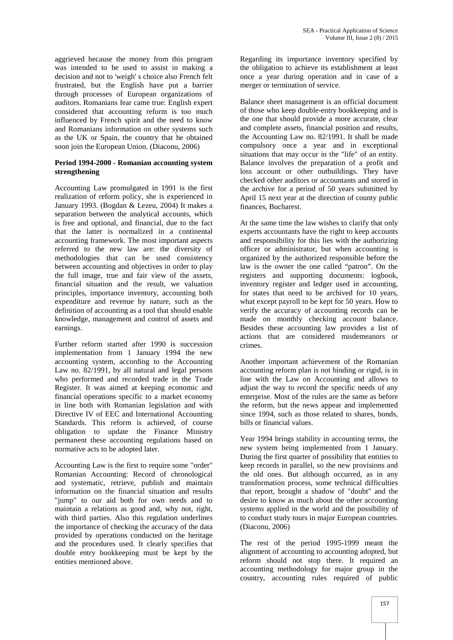aggrieved because the money from this program was intended to be used to assist in making a decision and not to 'weigh' s choice also French felt frustrated, but the English have put a barrier through processes of European organizations of auditors. Romanians fear came true: English expert considered that accounting reform is too much influenced by French spirit and the need to know and Romanians information on other systems such as the UK or Spain, the country that he obtained soon join the European Union. (Diaconu, 2006)

### **Period 1994-2000 - Romanian accounting system strengthening**

Accounting Law promulgated in 1991 is the first realization of reform policy, she is experienced in January 1993. (Bogdan & Lezeu, 2004) It makes a separation between the analytical accounts, which is free and optional, and financial, due to the fact that the latter is normalized in a continental accounting framework. The most important aspects referred to the new law are: the diversity of methodologies that can be used consistency between accounting and objectives in order to play the full image, true and fair view of the assets, financial situation and the result, we valuation principles, importance inventory, accounting both expenditure and revenue by nature, such as the definition of accounting as a tool that should enable knowledge, management and control of assets and earnings.

Further reform started after 1990 is succession implementation from 1 January 1994 the new accounting system, according to the Accounting Law no. 82/1991, by all natural and legal persons who performed and recorded trade in the Trade Register. It was aimed at keeping economic and financial operations specific to a market economy in line both with Romanian legislation and with Directive IV of EEC and International Accounting Standards. This reform is achieved, of course obligation to update the Finance Ministry permanent these accounting regulations based on normative acts to be adopted later.

Accounting Law is the first to require some "order" Romanian Accounting: Record of chronological and systematic, retrieve, publish and maintain information on the financial situation and results "jump" to our aid both for own needs and to maintain a relations as good and, why not, right, with third parties. Also this regulation underlines the importance of checking the accuracy of the data provided by operations conducted on the heritage and the procedures used. It clearly specifies that double entry bookkeeping must be kept by the entities mentioned above.

Regarding its importance inventory specified by the obligation to achieve its establishment at least once a year during operation and in case of a merger or termination of service.

Balance sheet management is an official document of those who keep double-entry bookkeeping and is the one that should provide a more accurate, clear and complete assets, financial position and results, the Accounting Law no. 82/1991. It shall be made compulsory once a year and in exceptional situations that may occur in the "life" of an entity. Balance involves the preparation of a profit and loss account or other outbuildings. They have checked other auditors or accountants and stored in the archive for a period of 50 years submitted by April 15 next year at the direction of county public finances, Bucharest.

At the same time the law wishes to clarify that only experts accountants have the right to keep accounts and responsibility for this lies with the authorizing officer or administrator, but when accounting is organized by the authorized responsible before the law is the owner the one called "patron". On the registers and supporting documents: logbook, inventory register and ledger used in accounting, for states that need to be archived for 10 years, what except payroll to be kept for 50 years. How to verify the accuracy of accounting records can be made on monthly checking account balance. Besides these accounting law provides a list of actions that are considered misdemeanors or crimes.

Another important achievement of the Romanian accounting reform plan is not binding or rigid, is in line with the Law on Accounting and allows to adjust the way to record the specific needs of any enterprise. Most of the rules are the same as before the reform, but the news appear and implemented since 1994, such as those related to shares, bonds, bills or financial values.

Year 1994 brings stability in accounting terms, the new system being implemented from 1 January. During the first quarter of possibility that entities to keep records in parallel, so the new provisions and the old ones. But although occurred, as in any transformation process, some technical difficulties that report, brought a shadow of "doubt" and the desire to know as much about the other accounting systems applied in the world and the possibility of to conduct study tours in major European countries. (Diaconu, 2006)

The rest of the period 1995-1999 meant the alignment of accounting to accounting adopted, but reform should not stop there. It required an accounting methodology for major group in the country, accounting rules required of public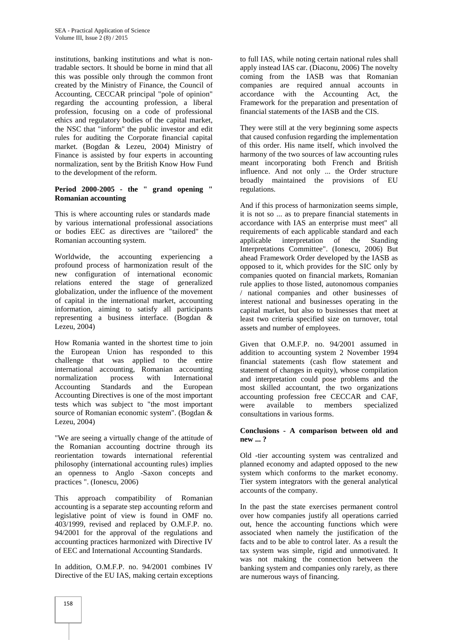institutions, banking institutions and what is nontradable sectors. It should be borne in mind that all this was possible only through the common front created by the Ministry of Finance, the Council of Accounting, CECCAR principal "pole of opinion" regarding the accounting profession, a liberal profession, focusing on a code of professional ethics and regulatory bodies of the capital market, the NSC that "inform" the public investor and edit rules for auditing the Corporate financial capital market. (Bogdan & Lezeu, 2004) Ministry of Finance is assisted by four experts in accounting normalization, sent by the British Know How Fund to the development of the reform.

### **Period 2000-2005 - the " grand opening " Romanian accounting**

This is where accounting rules or standards made by various international professional associations or bodies EEC as directives are "tailored" the Romanian accounting system.

Worldwide, the accounting experiencing a profound process of harmonization result of the new configuration of international economic relations entered the stage of generalized globalization, under the influence of the movement of capital in the international market, accounting information, aiming to satisfy all participants representing a business interface. (Bogdan & Lezeu, 2004)

How Romania wanted in the shortest time to join the European Union has responded to this challenge that was applied to the entire international accounting, Romanian accounting normalization process with International Accounting Standards and the European Accounting Directives is one of the most important tests which was subject to "the most important source of Romanian economic system". (Bogdan & Lezeu, 2004)

"We are seeing a virtually change of the attitude of the Romanian accounting doctrine through its reorientation towards international referential philosophy (international accounting rules) implies an openness to Anglo -Saxon concepts and practices ". (Ionescu, 2006)

This approach compatibility of Romanian accounting is a separate step accounting reform and legislative point of view is found in OMF no. 403/1999, revised and replaced by O.M.F.P. no. 94/2001 for the approval of the regulations and accounting practices harmonized with Directive IV of EEC and International Accounting Standards.

In addition, O.M.F.P. no. 94/2001 combines IV Directive of the EU IAS, making certain exceptions to full IAS, while noting certain national rules shall apply instead IAS car. (Diaconu, 2006) The novelty coming from the IASB was that Romanian companies are required annual accounts in accordance with the Accounting Act, the Framework for the preparation and presentation of financial statements of the IASB and the CIS.

They were still at the very beginning some aspects that caused confusion regarding the implementation of this order. His name itself, which involved the harmony of the two sources of law accounting rules meant incorporating both French and British influence. And not only ... the Order structure broadly maintained the provisions of EU regulations.

And if this process of harmonization seems simple, it is not so ... as to prepare financial statements in accordance with IAS an enterprise must meet" all requirements of each applicable standard and each applicable interpretation of the Standing Interpretations Committee". (Ionescu, 2006) But ahead Framework Order developed by the IASB as opposed to it, which provides for the SIC only by companies quoted on financial markets, Romanian rule applies to those listed, autonomous companies / national companies and other businesses of interest national and businesses operating in the capital market, but also to businesses that meet at least two criteria specified size on turnover, total assets and number of employees.

Given that O.M.F.P. no. 94/2001 assumed in addition to accounting system 2 November 1994 financial statements (cash flow statement and statement of changes in equity), whose compilation and interpretation could pose problems and the most skilled accountant, the two organizations accounting profession free CECCAR and CAF, were available to members specialized consultations in various forms.

#### **Conclusions - A comparison between old and new ... ?**

Old -tier accounting system was centralized and planned economy and adapted opposed to the new system which conforms to the market economy. Tier system integrators with the general analytical accounts of the company.

In the past the state exercises permanent control over how companies justify all operations carried out, hence the accounting functions which were associated when namely the justification of the facts and to be able to control later. As a result the tax system was simple, rigid and unmotivated. It was not making the connection between the banking system and companies only rarely, as there are numerous ways of financing.